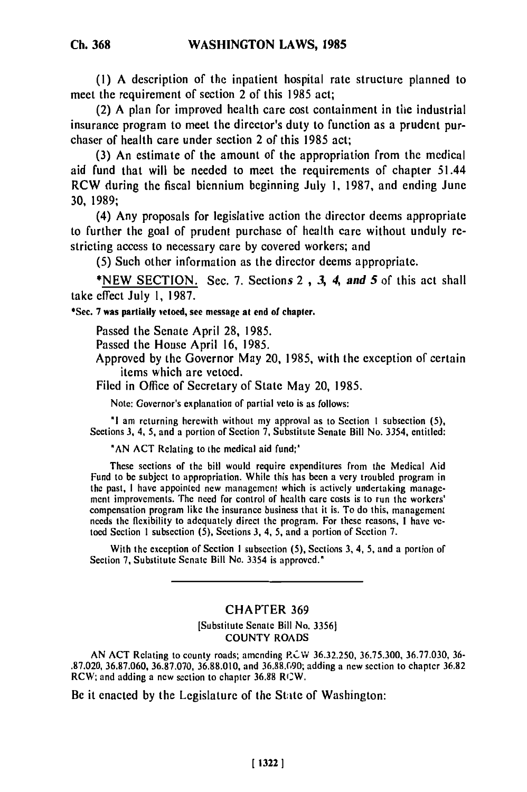**(1) A** description of the inpatient hospital rate structure planned to meet the requirement of section 2 of this **1985** act;

(2) **A** plan for improved health care cost containment in the industrial insurance program to meet the director's duty to function as a prudent purchaser of health care under section 2 of this **1985** act;

**(3)** An estimate of the amount of the appropriation from the medical aid fund that will be needed to meet the requirements of chapter 51.44 **RCW** during the fiscal biennium beginning July **1, 1987,** and ending June **30, 1989;**

(4) Any proposals for legislative action the director deems appropriate to further the goal of prudent purchase of health care without unduly restricting access to necessary care **by** covered workers; and

**(5)** Such other information as the director deems appropriate.

**\*NEW SECTION.** Sec. **7.** Sections 2 **, 3,** 4, *and* **5** of this act shall take effect July **1, 1987.**

**\*See. 7 was partially vetoed, see message at end of chapter.**

Passed the Senate April 28, 1985.

Passed the House April 16, 1985.

Approved by the Governor May 20, 1985, with the exception of certain items which are vetoed.

Filed in Office of Secretary of State May 20, 1985.

Note: Governor's explanation of partial veto is as follows:

**"I** am returning herewith without my approval as to Section I subsection (5), Sections 3, 4, **5,** and a portion of Section 7, Substitute Senate Bill No. 3354, entitled:

**"AN** ACT Relating to the medical aid fund;"

These sections of the bill would require expenditures from the Medical Aid Fund to be subject to appropriation. While this has been a very troubled program in the past, I have appointed new management which is actively undertaking management improvements. The need for control of health care costs is to run the workers' compensation program like the insurance business that it is. To do this, management needs the flexibility to adequately direct the program. For these reasons, I have vetoed Section **I** subsection (5), Sections **3,** 4, 5, and a portion of Section 7.

With the exception of Section I subsection **(5),** Sections 3, 4, 5, and a portion of Section 7, Substitute Senate Bill No. 3354 is approved."

## **CHAPTER 369**

[Substitute Senate Bill No. 33561 COUNTY ROADS

AN **ACT** Relating to county roads; amending RPCW 36.32.250, 36.75.300, 36.77.030, 36- .87.021 Kelating to county roads; amending RCW 36.82.250, 36.75.300, 36.77.030, 36.88.690; and 36.88  $R2.020$ ,  $36.87.060$ ,  $36.87.070$ ,  $36.88.010$ , and  $36.88.090$ ; adding a new section to chapter  $36.82$ <br>RCW; and adding a new section to chapter  $36.88$  RCW.

Be it enacted **by** the Legislature of the State of Washington: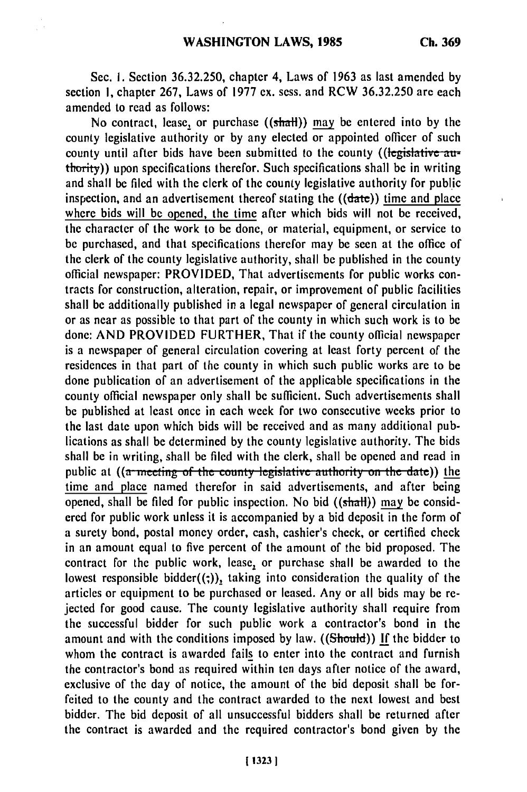Sec. I. Section 36.32.250, chapter 4, Laws of 1963 as last amended **by** section 1, chapter 267, Laws of 1977 ex. sess. and RCW 36.32.250 are each amended to read as follows:

No contract, lease, or purchase  $((shath))$  may be entered into by the county legislative authority or by any elected or appointed officer of such county until after bids have been submitted to the county ((legislative **au**thority)) upon specifications therefor. Such specifications shall be in writing and shall be filed with the clerk of the county legislative authority for public inspection, and an advertisement thereof stating the  $((data))$  time and place where bids will be opened, the time after which bids will not be received, the character of the work to be done, or material, equipment, or service to be purchased, and that specifications therefor may be seen at the office of the clerk of the county legislative authority, shall be published in the county official newspaper: PROVIDED, That advertisements for public works contracts for construction, alteration, repair, or improvement of public facilities shall be additionally published in a legal newspaper of general circulation in or as near as possible to that part of the county in which such work is to be done: AND PROVIDED FURTHER, That if the county official newspaper is a newspaper of general circulation covering at least forty percent of the residences in that part of the county in which such public works are to be done publication of an advertisement of the applicable specifications in the county official newspaper only shall be sufficient. Such advertisements shall be published at least once in each week for two consecutive weeks prior to the last date upon which bids will be received and as many additional publications as shall be determined by the county legislative authority. The bids shall be in writing, shall be filed with the clerk, shall be opened and read in public at ((a meeting of the county legislative authority on the date)) the time and place named therefor in said advertisements, and after being opened, shall be filed for public inspection. No bid  $((shall))$  may be considered for public work unless it is accompanied by a bid deposit in the form of a surety bond, postal money order, cash, cashier's check, or certified check in an amount equal to five percent of the amount of the bid proposed. The contract for the public work, lease, or purchase shall be awarded to the lowest responsible bidder $((,))$ , taking into consideration the quality of the articles or equipment to be purchased or leased. Any or all bids may be rejected for good cause. The county legislative authority shall require from the successful bidder for such public work a contractor's bond in the amount and with the conditions imposed by law. ((Should)) If the bidder to whom the contract is awarded fails to enter into the contract and furnish the contractor's bond as required within ten days after notice of the award, exclusive of the day of notice, the amount of the bid deposit shall be forfeited to the county and the contract awarded to the next lowest and best bidder. The bid deposit of all unsuccessful bidders shall be returned after the contract is awarded and the required contractor's bond given by the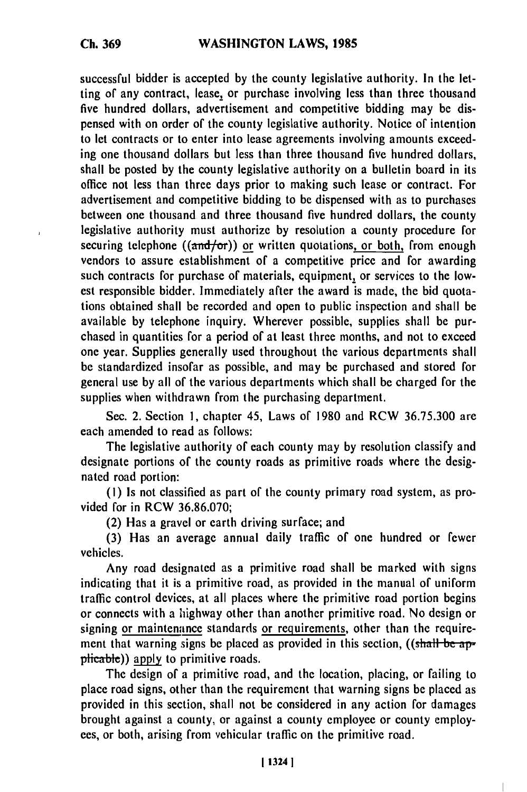successful bidder is accepted by the county legislative authority. In the letting of any contract, lease, or purchase involving less than three thousand five hundred dollars, advertisement and competitive bidding may be dispensed with on order of the county legislative authority. Notice of intention to let contracts or to enter into lease agreements involving amounts exceeding one thousand dollars but less than three thousand five hundred dollars, shall be posted by the county legislative authority on a bulletin board in its office not less than three days prior to making such lease or contract. For advertisement and competitive bidding to be dispensed with as to purchases between one thousand and three thousand five hundred dollars, the county legislative authority must authorize by resolution a county procedure for securing telephone ( $(\text{and/or})$ ) or written quotations, or both, from enough vendors to assure establishment of a competitive price and for awarding such contracts for purchase of materials, equipment, or services to the lowest responsible bidder. Immediately after the award is made, the bid quotations obtained shall be recorded and open to public inspection and shall be available by telephone inquiry. Wherever possible, supplies shall be purchased in quantities for a period of at least three months, and not to exceed one year. Supplies generally used throughout the various departments shall be standardized insofar as possible, and may be purchased and stored for general use by all of the various departments which shall be charged for the supplies when withdrawn from the purchasing department.

Sec. 2. Section **1,** chapter 45, Laws of 1980 and RCW 36.75.300 are each amended to read as follows:

The legislative authority of each county may by resolution classify and designate portions of the county roads as primitive roads where the designated road portion:

(I) Is not classified as part of the county primary road system, as provided for in RCW 36.86.070;

(2) Has a gravel or earth driving surface; and

**(3)** Has an average annual daily traffic of one hundred or fewer vehicles.

Any road designated as a primitive road shall be marked with signs indicating that it is a primitive road, as provided in the manual of uniform traffic control devices, at all places where the primitive road portion begins or connects with a highway other than another primitive road. No design or signing or maintenance standards or requirements, other than the requirement that warning signs be placed as provided in this section, ((shall be applicable)) apply to primitive roads.

The design of a primitive road, and the location, placing, or failing to place road signs, other than the requirement that warning signs be placed as provided in this section, shall not be considered in any action for damages brought against a county, or against a county employee or county employees, or both, arising from vehicular traffic on the primitive road.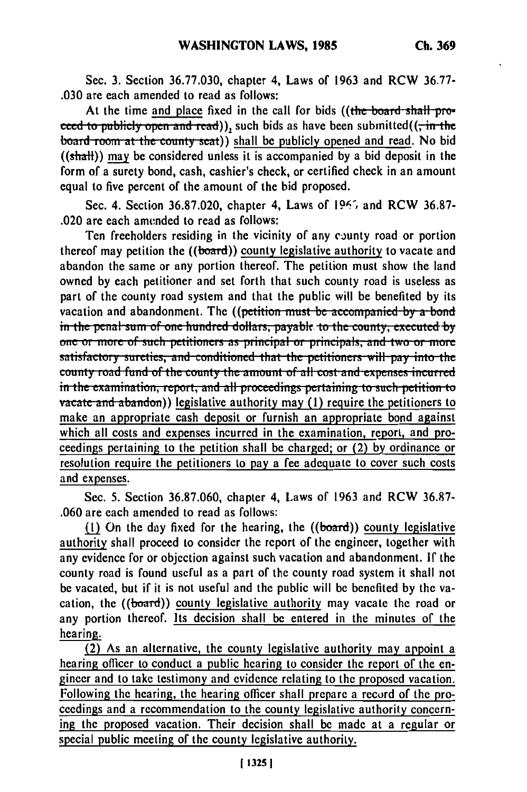Sec. **3.** Section **36.77.030,** chapter 4, Laws of **1963** and RCW **36.77- .030** are each amended to read as follows:

At the time and place fixed in the call for bids ((the board shall pro**ceed to publicly open and read)), such bids as have been submitted((** $\frac{1}{r}$  **in the board room at the county seat)) shall be publicly opened and read. No bid** ((shaH)) **may** be considered unless it is accompanied **by** a bid deposit in the form of a surety bond, cash, cashier's check, or certified check in an amount equal to five percent of the amount of the bid proposed.

Sec. 4. Section **36.87.020,** chapter 4, Laws of **1967,** and RCW **36.87-** .020 are each amended to read as follows:

Ten freeholders residing in the vicinity of any county road or portion thereof may petition the **((board))** county legislative authority to vacate and abandon the same or any portion thereof. The petition must show the land owned **by** each petitioner and set forth that such county road is useless as part of the county road system and that the public will **be** benefited **by** its vacation and abandonment. The **((petition must be accompanied by a bond** in the penal sum of one hundred dollars, payable to the county, executed by **one or more of such petitioners as principal or principals, and two or more** satisfactory sureties, and conditioned that the petitioners will pay into the county road fund of the county the amount of all cost and expenses incurred  $\frac{1}{2}$  in the examination, report, and all proceedings pertaining to such petition to **vacate and abandom**)) legislative authority may (1) require the petitioners to make an appropriate cash deposit or furnish an appropriate bond against which all costs and expenses incurred in the examination, report, and proceedings pertaining to the petition shall be charged; or (2) by ordinance or resolution require the petitioners to pay a fee adequate to cover such costs and expenses.

Sec. 5. Section 36.87.060, chapter 4, Laws of 1963 and RCW 36.87- .060 are each amended to read as follows:

(1) On the day fixed for the hearing, the  $((board))$  county legislative authority shall proceed to consider the report of the engineer, together with any evidence for or objection against such vacation and abandonment. If the county road is found useful as a part of the county road system it shall not be vacated, but if it is not useful and the public will be benefited by the vacation, the  $((\text{board}))$  county legislative authority may vacate the road or any portion thereof. Its decision shall be entered in the minutes of the hearing.

(2) As an alternative, the county legislative authority may appoint a hearing officer to conduct a public hearing to consider the report of the engineer and to take testimony and evidence relating to the proposed vacation. Following the hearing, the hearing officer shall prepare a record of the proceedings and a recommendation to the county legislative authority concerning the proposed vacation. Their decision shall be made at a regular or special public meeting of the county legislative authority.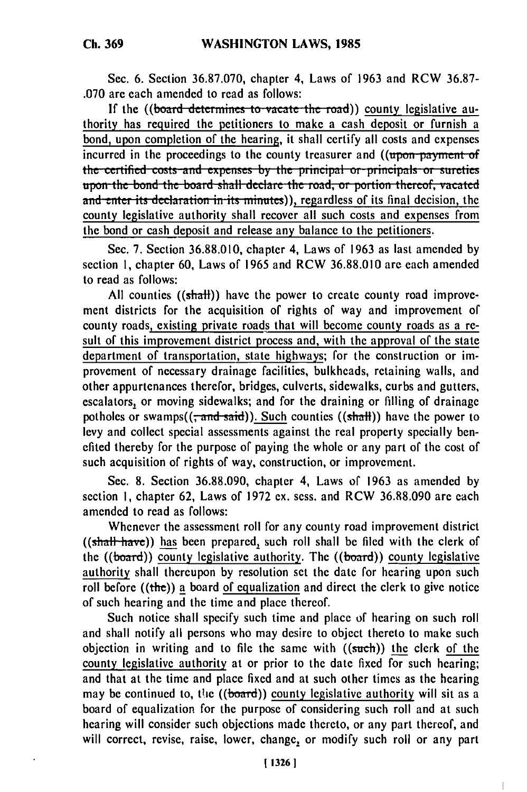Sec. **6.** Section 36.87.070, chapter 4, Laws of 1963 and RCW **36.87-** .070 are each amended to read as follows:

If the ((board determines to vacate the road)) county legislative authority has required the petitioners to make a cash deposit or furnish a bond, upon completion of the hearing, it shall certify all costs and expenses incurred in the proceedings to the county treasurer and ((upon payment of the certified costs and expenses by the principal or principals or sureties upon the bond the board shall declare the road, or portion thereof, vacated and enter its declaration in its minutes)), regardless of its final decision, the county legislative authority shall recover all such costs and expenses from the bond or cash deposit and release any balance to the petitioners.

Sec. 7. Section 36.88.010, chapter 4, Laws of 1963 as last amended by section **1,** chapter 60, Laws of 1965 and RCW 36.88.010 are each amended to read as follows:

All counties **((shaft))** have the power to create county road improvement districts for the acquisition of rights of way and improvement of county roads, existing private roads that will become county roads as a result of this improvement district process and, with the approval of the state department of transportation, state highways; for the construction or improvement of necessary drainage facilities, bulkheads, retaining walls, and other appurtenances therefor, bridges, culverts, sidewalks, curbs and gutters, escalators, or moving sidewalks; and for the draining or filling of drainage potholes or swamps( $(\overline{;} \overline{and} \overline{•} \overline{a} \overline{d})$ ). Such counties ( $(\overline{sh} \overline{a} \overline{d})$ ) have the power to levy and collect special assessments against the real property specially benefited thereby for the purpose of paying the whole or any part of the cost of such acquisition of rights of way, construction, or improvement.

Sec. 8. Section 36.88.090, chapter 4, Laws of 1963 as amended by section 1, chapter 62, Laws of 1972 ex. sess. and RCW 36.88.090 are each amended to read as follows:

Whenever the assessment roll for any county road improvement district ((shall have)) has been prepared, such roll shall be filed with the clerk of the ((board)) county legislative authority. The **((board))** county legislative authority shall thereupon **by** resolution set the date for hearing upon such roll before ((the)) a board of equalization and direct the clerk to give notice of such hearing and the time and place thereof.

Such notice shall specify such time and place of hearing on such roll and shall notify all persons who may desire to object thereto to make such objection in writing and to file the same with  $((such))$  the clerk of the county legislative authority at or prior to the date fixed for such hearing; and that at the time and place fixed and at such other times as the hearing may be continued to, the ((board)) county legislative authority will sit as a board of equalization for the purpose of considering such roll and at such hearing will consider such objections made thereto, or any part thereof, and will correct, revise, raise, lower, change, or modify such roll or any part

 $\overline{1}$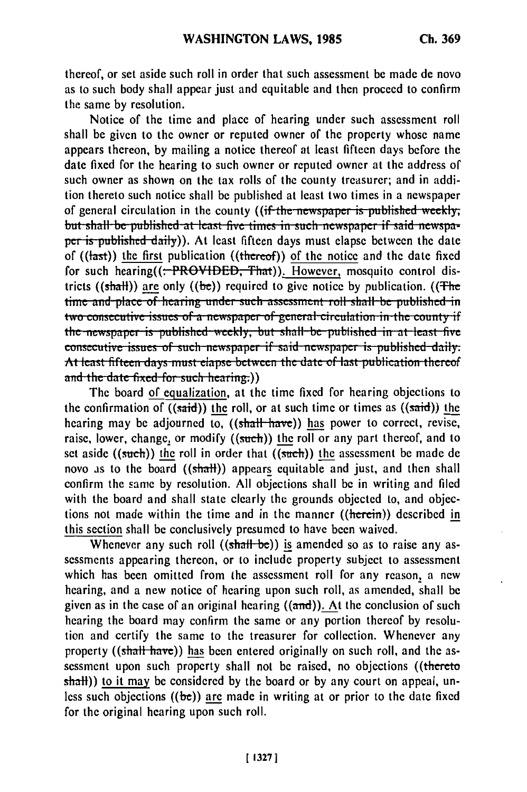thereof, or set aside such roll in order that such assessment be made de novo as to such body shall appear just and equitable and then proceed to confirm the same **by** resolution.

Notice of the time and place of hearing under such assessment roll shall be given to the owner or reputed owner of the property whose name appears thereon, **by** mailing a notice thereof at least fifteen days before the date fixed for the hearing to such owner or reputed owner at the address of such owner as shown on the tax rolls of the county treasurer; and in addition thereto such notice shall be published at least two times in a newspaper of general circulation in the county ((if the newspaper is published weekly, but shall be published at least five times in such newspaper if said newspaper is published daily)). At least fifteen days must elapse between the date of  $((\text{last}))$  the first publication  $((\text{theref}))$  of the notice and the date fixed for such hearing( $($ : PROVIDED, That)). However, mosquito control districts ((shall)) are only ((be)) required to give notice by publication. ((The time and place of hearing under such assessment roll shall be published in<br>two consecutive issues of a newspaper of general circulation in the county if the newspaper is published weekly, but shall be published in at least five consecutive issues of such newspaper if said newspaper is published daily At least fifteen days must elapse between the date of last publication thereof and the date fixed for such hearing.))

The board of equalization, at the time fixed for hearing objections to the confirmation of  $((said))$  the roll, or at such time or times as  $((said))$  the hearing may be adjourned to, ((shall have)) has power to correct, revise, raise, lower, change, or modify  $((such))$  the roll or any part thereof, and to set aside  $((such))$  the roll in order that  $((such))$  the assessment be made de novo as to the board  $((sh\text{all}))$  appears equitable and just, and then shall confirm the same by resolution. All objections shall be in writing and filed with the board and shall state clearly the grounds objected to, and objections not made within the time and in the manner ((herein)) described in this section shall be conclusively presumed to have been waived.

Whenever any such roll  $((shall-be))$  is amended so as to raise any assessments appearing thereon, or to include property subject to assessment which has been omitted from the assessment roll for any reason, a new hearing, and a new notice of hearing upon such roll, as amended, shall be given as in the case of an original hearing  $((\text{and}))$ . At the conclusion of such hearing the board may confirm the same or any portion thereof by resolution and certify the same to the treasurer for collection. Whenever any property ((shall have)) has been entered originally on such roll, and the assessment upon such property shall not be raised, no objections ((thereto shall)) to it may be considered by the board or by any court on appeal, unless such objections  $((be))$  are made in writing at or prior to the date fixed for the original hearing upon such roll.